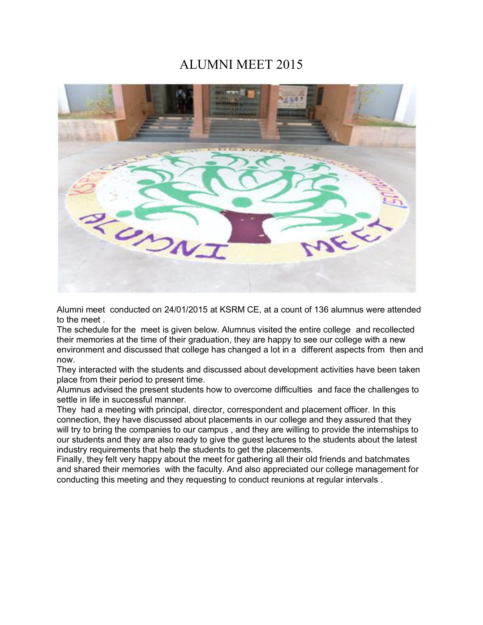## ALUMNI MEET 2015



Alumni meet conducted on 24/01/2015 at KSRM CE, at a count of 136 alumnus were attended to the meet

The schedule for the meet is given below. Alumnus visited the entire college and recollected their memories at the time of their graduation, they are happy to see our college with a new environment and discussed that college has changed a lot in a different aspects from then and now.

They interacted with the students and discussed about development activities have been taken place from their period to present time.

Alumnus advised the present students how to overcome difficulties and face the challenges to settle in life in successful manner.

They had a meeting with principal, director, correspondent and placement officer. In this connection, they have discussed about placements in our college and they assured that they will try to bring the companies to our campus, and they are willing to provide the internships to our students and they are also ready to give the guest lectures to the students about the latest industry requirements that help the students to get the placements.

Finally, they felt very happy about the meet for gathering all their old friends and batchmates and shared their memories with the faculty. And also appreciated our college management for conducting this meeting and they requesting to conduct reunions at regular intervals .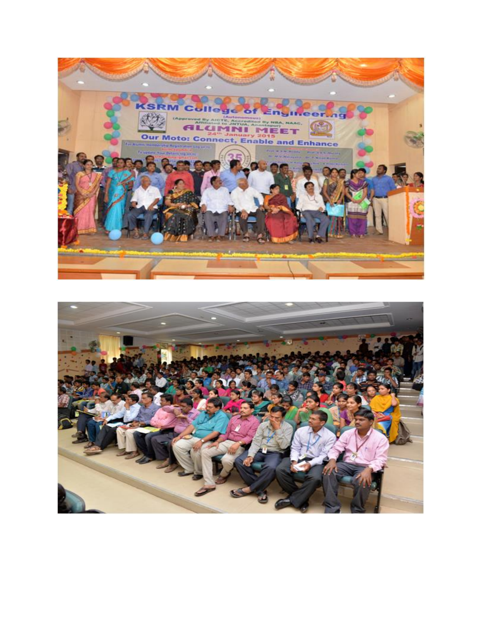